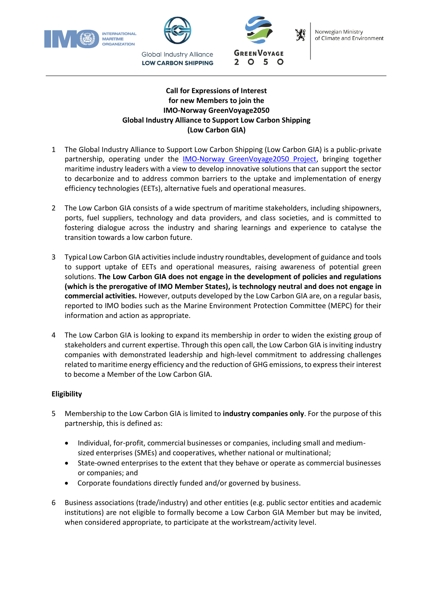





**Global Industry Alliance LOW CARBON SHIPPING** 



# **Call for Expressions of Interest for new Members to join the IMO-Norway GreenVoyage2050 Global Industry Alliance to Support Low Carbon Shipping (Low Carbon GIA)**

- 1 The Global Industry Alliance to Support Low Carbon Shipping (Low Carbon GIA) is a public-private partnership, operating under the [IMO-Norway GreenVoyage2050 Project,](https://greenvoyage2050.imo.org/) bringing together maritime industry leaders with a view to develop innovative solutions that can support the sector to decarbonize and to address common barriers to the uptake and implementation of energy efficiency technologies (EETs), alternative fuels and operational measures.
- 2 The Low Carbon GIA consists of a wide spectrum of maritime stakeholders, including shipowners, ports, fuel suppliers, technology and data providers, and class societies, and is committed to fostering dialogue across the industry and sharing learnings and experience to catalyse the transition towards a low carbon future.
- 3 Typical Low Carbon GIA activities include industry roundtables, development of guidance and tools to support uptake of EETs and operational measures, raising awareness of potential green solutions. **The Low Carbon GIA does not engage in the development of policies and regulations (which is the prerogative of IMO Member States), is technology neutral and does not engage in commercial activities.** However, outputs developed by the Low Carbon GIA are, on a regular basis, reported to IMO bodies such as the Marine Environment Protection Committee (MEPC) for their information and action as appropriate.
- 4 The Low Carbon GIA is looking to expand its membership in order to widen the existing group of stakeholders and current expertise. Through this open call, the Low Carbon GIA is inviting industry companies with demonstrated leadership and high-level commitment to addressing challenges related to maritime energy efficiency and the reduction of GHG emissions, to express their interest to become a Member of the Low Carbon GIA.

# **Eligibility**

- 5 Membership to the Low Carbon GIA is limited to **industry companies only**. For the purpose of this partnership, this is defined as:
	- Individual, for-profit, commercial businesses or companies, including small and mediumsized enterprises (SMEs) and cooperatives, whether national or multinational;
	- State-owned enterprises to the extent that they behave or operate as commercial businesses or companies; and
	- Corporate foundations directly funded and/or governed by business.
- 6 Business associations (trade/industry) and other entities (e.g. public sector entities and academic institutions) are not eligible to formally become a Low Carbon GIA Member but may be invited, when considered appropriate, to participate at the workstream/activity level.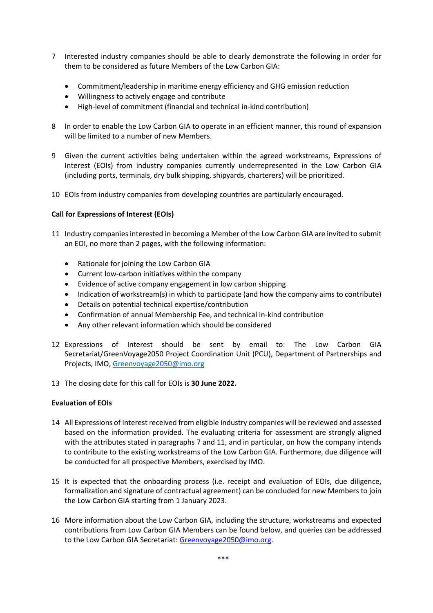- 7 Interested industry companies should be able to clearly demonstrate the following in order for them to be considered as future Members of the Low Carbon GIA:
	- Commitment/leadership in maritime energy efficiency and GHG emission reduction
	- Willingness to actively engage and contribute
	- High-level of commitment (financial and technical in-kind contribution)
- 8 In order to enable the Low Carbon GIA to operate in an efficient manner, this round of expansion will be limited to a number of new Members.
- 9 Given the current activities being undertaken within the agreed workstreams, Expressions of Interest (EOIs) from industry companies currently underrepresented in the Low Carbon GIA (including ports, terminals, dry bulk shipping, shipyards, charterers) will be prioritized.
- 10 EOIs from industry companies from developing countries are particularly encouraged.

#### **Call for Expressions of Interest (EOIs)**

- 11 Industry companies interested in becoming a Member of the Low Carbon GIA are invited to submit an EOI, no more than 2 pages, with the following information:
	- Rationale for joining the Low Carbon GIA
	- Current low-carbon initiatives within the company
	- Evidence of active company engagement in low carbon shipping
	- Indication of workstream(s) in which to participate (and how the company aims to contribute)
	- Details on potential technical expertise/contribution
	- Confirmation of annual Membership Fee, and technical in-kind contribution
	- Any other relevant information which should be considered
- 12 Expressions of Interest should be sent by email to: The Low Carbon GIA Secretariat/GreenVoyage2050 Project Coordination Unit (PCU), Department of Partnerships and Projects, IMO, [Greenvoyage2050@imo.org](mailto:Greenvoyage2050@imo.org)
- 13 The closing date for this call for EOIs is **30 June 2022.**

# **Evaluation of EOIs**

- 14 All Expressions of Interest received from eligible industry companies will be reviewed and assessed based on the information provided. The evaluating criteria for assessment are strongly aligned with the attributes stated in paragraphs 7 and 11, and in particular, on how the company intends to contribute to the existing workstreams of the Low Carbon GIA. Furthermore, due diligence will be conducted for all prospective Members, exercised by IMO.
- 15 It is expected that the onboarding process (i.e. receipt and evaluation of EOIs, due diligence, formalization and signature of contractual agreement) can be concluded for new Members to join the Low Carbon GIA starting from 1 January 2023.
- 16 More information about the Low Carbon GIA, including the structure, workstreams and expected contributions from Low Carbon GIA Members can be found below, and queries can be addressed to the Low Carbon GIA Secretariat[: Greenvoyage2050@imo.org.](mailto:greenvoyage2050@imo.org)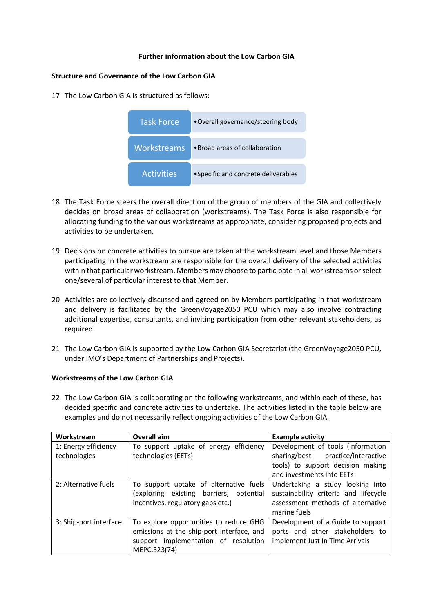# **Further information about the Low Carbon GIA**

# **Structure and Governance of the Low Carbon GIA**

17 The Low Carbon GIA is structured as follows:

| <b>Task Force</b>                             | •Overall governance/steering body    |
|-----------------------------------------------|--------------------------------------|
| Workstreams<br>. Broad areas of collaboration |                                      |
| <b>Activities</b>                             | • Specific and concrete deliverables |

- 18 The Task Force steers the overall direction of the group of members of the GIA and collectively decides on broad areas of collaboration (workstreams). The Task Force is also responsible for allocating funding to the various workstreams as appropriate, considering proposed projects and activities to be undertaken.
- 19 Decisions on concrete activities to pursue are taken at the workstream level and those Members participating in the workstream are responsible for the overall delivery of the selected activities within that particular workstream. Members may choose to participate in all workstreams or select one/several of particular interest to that Member.
- 20 Activities are collectively discussed and agreed on by Members participating in that workstream and delivery is facilitated by the GreenVoyage2050 PCU which may also involve contracting additional expertise, consultants, and inviting participation from other relevant stakeholders, as required.
- 21 The Low Carbon GIA is supported by the Low Carbon GIA Secretariat (the GreenVoyage2050 PCU, under IMO's Department of Partnerships and Projects).

#### **Workstreams of the Low Carbon GIA**

22 The Low Carbon GIA is collaborating on the following workstreams, and within each of these, has decided specific and concrete activities to undertake. The activities listed in the table below are examples and do not necessarily reflect ongoing activities of the Low Carbon GIA.

| Workstream             | Overall aim                               | <b>Example activity</b>               |
|------------------------|-------------------------------------------|---------------------------------------|
| 1: Energy efficiency   | To support uptake of energy efficiency    | Development of tools (information     |
| technologies           | technologies (EETs)                       | sharing/best practice/interactive     |
|                        |                                           | tools) to support decision making     |
|                        |                                           | and investments into EETs             |
| 2: Alternative fuels   | To support uptake of alternative fuels    | Undertaking a study looking into      |
|                        | (exploring existing barriers, potential   | sustainability criteria and lifecycle |
|                        | incentives, regulatory gaps etc.)         | assessment methods of alternative     |
|                        |                                           | marine fuels                          |
| 3: Ship-port interface | To explore opportunities to reduce GHG    | Development of a Guide to support     |
|                        | emissions at the ship-port interface, and | ports and other stakeholders to       |
|                        | support implementation of resolution      | implement Just In Time Arrivals       |
|                        | MEPC.323(74)                              |                                       |